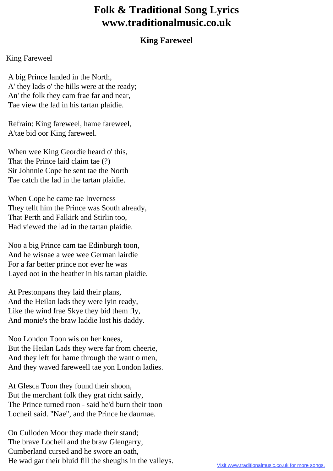## **Folk & Traditional Song Lyrics www.traditionalmusic.co.uk**

## **King Fareweel**

## King Fareweel

 A big Prince landed in the North, A' they lads o' the hills were at the ready; An' the folk they cam frae far and near, Tae view the lad in his tartan plaidie.

 Refrain: King fareweel, hame fareweel, A'tae bid oor King fareweel.

 When wee King Geordie heard o' this, That the Prince laid claim tae (?) Sir Johnnie Cope he sent tae the North Tae catch the lad in the tartan plaidie.

 When Cope he came tae Inverness They tellt him the Prince was South already, That Perth and Falkirk and Stirlin too, Had viewed the lad in the tartan plaidie.

 Noo a big Prince cam tae Edinburgh toon, And he wisnae a wee wee German lairdie For a far better prince nor ever he was Layed oot in the heather in his tartan plaidie.

 At Prestonpans they laid their plans, And the Heilan lads they were lyin ready, Like the wind frae Skye they bid them fly, And monie's the braw laddie lost his daddy.

 Noo London Toon wis on her knees, But the Heilan Lads they were far from cheerie, And they left for hame through the want o men, And they waved fareweell tae yon London ladies.

 At Glesca Toon they found their shoon, But the merchant folk they grat richt sairly, The Prince turned roon - said he'd burn their toon Locheil said. "Nae", and the Prince he daurnae.

 On Culloden Moor they made their stand; The brave Locheil and the braw Glengarry, Cumberland cursed and he swore an oath, He wad gar their bluid fill the sheughs in the valleys.